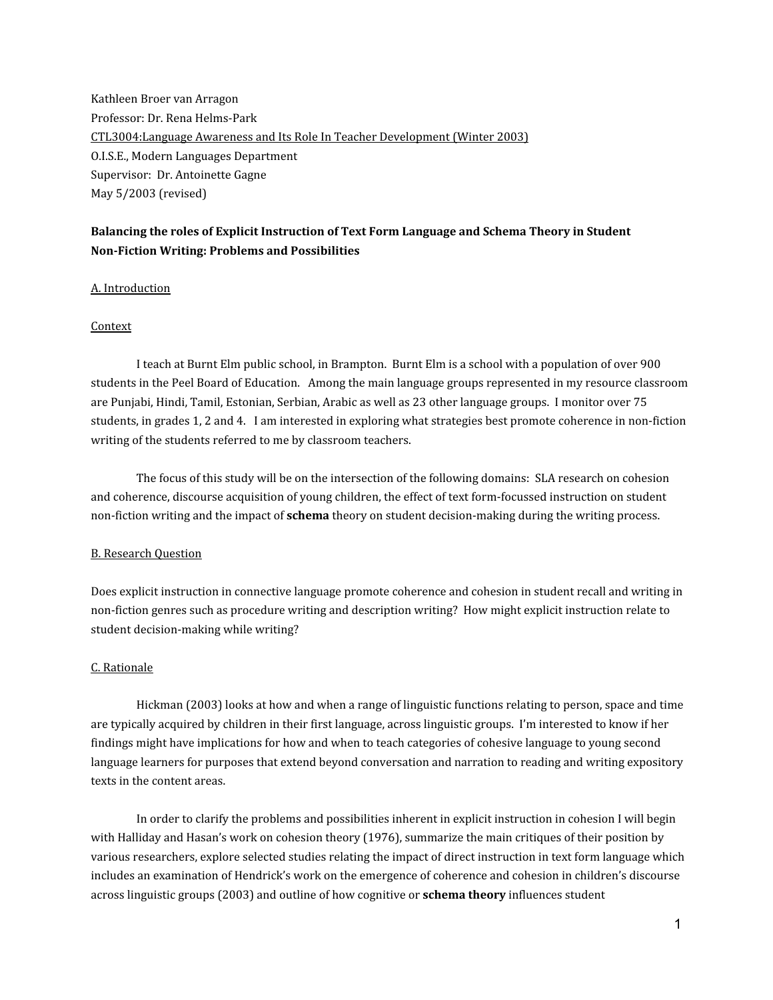Kathleen Broer van Arragon Professor: Dr. Rena Helms-Park CTL3004:Language Awareness and Its Role In Teacher Development (Winter 2003) O.I.S.E., Modern Languages Department Supervisor: Dr. Antoinette Gagne May 5/2003 (revised)

# **Balancing the roles of Explicit Instruction of Text Form Language and Schema Theory in Student Non-Fiction Writing: Problems and Possibilities**

## A. Introduction

#### Context

I teach at Burnt Elm public school, in Brampton. Burnt Elm is a school with a population of over 900 students in the Peel Board of Education. Among the main language groups represented in my resource classroom are Punjabi, Hindi, Tamil, Estonian, Serbian, Arabic as well as 23 other language groups. I monitor over 75 students, in grades 1, 2 and 4. I am interested in exploring what strategies best promote coherence in non-fiction writing of the students referred to me by classroom teachers.

The focus of this study will be on the intersection of the following domains: SLA research on cohesion and coherence, discourse acquisition of young children, the effect of text form-focussed instruction on student non-fiction writing and the impact of **schema** theory on student decision-making during the writing process.

#### B. Research Question

Does explicit instruction in connective language promote coherence and cohesion in student recall and writing in non-fiction genres such as procedure writing and description writing? How might explicit instruction relate to student decision-making while writing?

## C. Rationale

Hickman (2003) looks at how and when a range of linguistic functions relating to person, space and time are typically acquired by children in their first language, across linguistic groups. I'm interested to know if her findings might have implications for how and when to teach categories of cohesive language to young second language learners for purposes that extend beyond conversation and narration to reading and writing expository texts in the content areas.

In order to clarify the problems and possibilities inherent in explicit instruction in cohesion I will begin with Halliday and Hasan's work on cohesion theory (1976), summarize the main critiques of their position by various researchers, explore selected studies relating the impact of direct instruction in text form language which includes an examination of Hendrick's work on the emergence of coherence and cohesion in children's discourse across linguistic groups (2003) and outline of how cognitive or **schema theory** influences student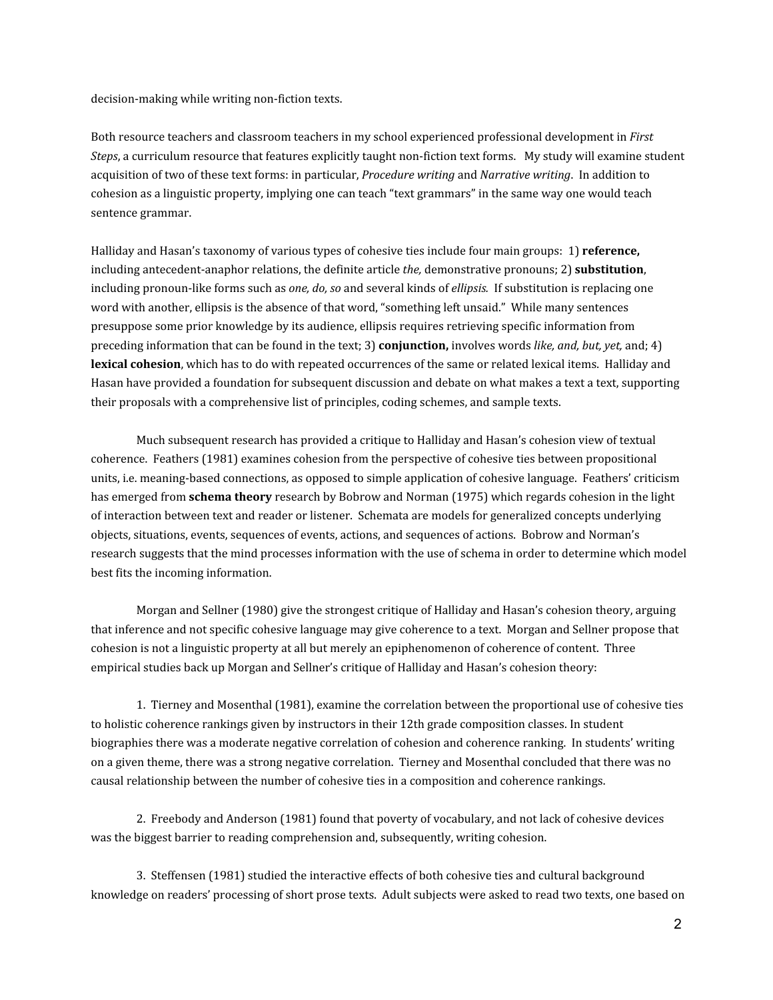decision-making while writing non-fiction texts.

Both resource teachers and classroom teachers in my school experienced professional development in *First Steps*, a curriculum resource that features explicitly taught non-fiction text forms. My study will examine student acquisition of two of these text forms: in particular, *Procedure writing* and *Narrative writing*. In addition to cohesion as a linguistic property, implying one can teach "text grammars" in the same way one would teach sentence grammar.

Halliday and Hasan's taxonomy of various types of cohesive ties include four main groups: 1) **reference,** including antecedent-anaphor relations, the definite article *the,* demonstrative pronouns; 2) **substitution**, including pronoun-like forms such as *one, do, so* and several kinds of *ellipsis.* If substitution is replacing one word with another, ellipsis is the absence of that word, "something left unsaid." While many sentences presuppose some prior knowledge by its audience, ellipsis requires retrieving specific information from preceding information that can be found in the text; 3) **conjunction,** involves words *like, and, but, yet,* and; 4) **lexical cohesion**, which has to do with repeated occurrences of the same or related lexical items. Halliday and Hasan have provided a foundation for subsequent discussion and debate on what makes a text a text, supporting their proposals with a comprehensive list of principles, coding schemes, and sample texts.

Much subsequent research has provided a critique to Halliday and Hasan's cohesion view of textual coherence. Feathers (1981) examines cohesion from the perspective of cohesive ties between propositional units, i.e. meaning-based connections, as opposed to simple application of cohesive language. Feathers' criticism has emerged from **schema theory** research by Bobrow and Norman (1975) which regards cohesion in the light of interaction between text and reader or listener. Schemata are models for generalized concepts underlying objects, situations, events, sequences of events, actions, and sequences of actions. Bobrow and Norman's research suggests that the mind processes information with the use of schema in order to determine which model best fits the incoming information.

Morgan and Sellner (1980) give the strongest critique of Halliday and Hasan's cohesion theory, arguing that inference and not specific cohesive language may give coherence to a text. Morgan and Sellner propose that cohesion is not a linguistic property at all but merely an epiphenomenon of coherence of content. Three empirical studies back up Morgan and Sellner's critique of Halliday and Hasan's cohesion theory:

1. Tierney and Mosenthal (1981), examine the correlation between the proportional use of cohesive ties to holistic coherence rankings given by instructors in their 12th grade composition classes. In student biographies there was a moderate negative correlation of cohesion and coherence ranking. In students' writing on a given theme, there was a strong negative correlation. Tierney and Mosenthal concluded that there was no causal relationship between the number of cohesive ties in a composition and coherence rankings.

2. Freebody and Anderson (1981) found that poverty of vocabulary, and not lack of cohesive devices was the biggest barrier to reading comprehension and, subsequently, writing cohesion.

3. Steffensen (1981) studied the interactive effects of both cohesive ties and cultural background knowledge on readers' processing of short prose texts. Adult subjects were asked to read two texts, one based on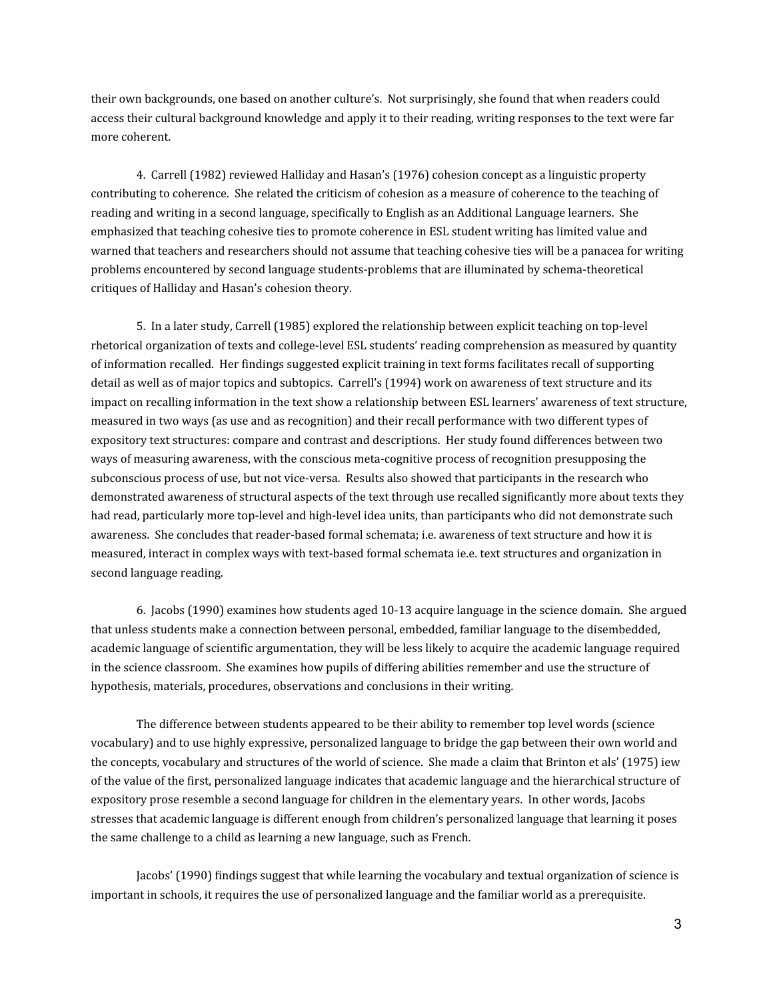their own backgrounds, one based on another culture's. Not surprisingly, she found that when readers could access their cultural background knowledge and apply it to their reading, writing responses to the text were far more coherent.

4. Carrell (1982) reviewed Halliday and Hasan's (1976) cohesion concept as a linguistic property contributing to coherence. She related the criticism of cohesion as a measure of coherence to the teaching of reading and writing in a second language, specifically to English as an Additional Language learners. She emphasized that teaching cohesive ties to promote coherence in ESL student writing has limited value and warned that teachers and researchers should not assume that teaching cohesive ties will be a panacea for writing problems encountered by second language students-problems that are illuminated by schema-theoretical critiques of Halliday and Hasan's cohesion theory.

5. In a later study, Carrell (1985) explored the relationship between explicit teaching on top-level rhetorical organization of texts and college-level ESL students' reading comprehension as measured by quantity of information recalled. Her findings suggested explicit training in text forms facilitates recall of supporting detail as well as of major topics and subtopics. Carrell's (1994) work on awareness of text structure and its impact on recalling information in the text show a relationship between ESL learners' awareness of text structure, measured in two ways (as use and as recognition) and their recall performance with two different types of expository text structures: compare and contrast and descriptions. Her study found differences between two ways of measuring awareness, with the conscious meta-cognitive process of recognition presupposing the subconscious process of use, but not vice-versa. Results also showed that participants in the research who demonstrated awareness of structural aspects of the text through use recalled significantly more about texts they had read, particularly more top-level and high-level idea units, than participants who did not demonstrate such awareness. She concludes that reader-based formal schemata; i.e. awareness of text structure and how it is measured, interact in complex ways with text-based formal schemata ie.e. text structures and organization in second language reading.

6. Jacobs (1990) examines how students aged 10-13 acquire language in the science domain. She argued that unless students make a connection between personal, embedded, familiar language to the disembedded, academic language of scientific argumentation, they will be less likely to acquire the academic language required in the science classroom. She examines how pupils of differing abilities remember and use the structure of hypothesis, materials, procedures, observations and conclusions in their writing.

The difference between students appeared to be their ability to remember top level words (science vocabulary) and to use highly expressive, personalized language to bridge the gap between their own world and the concepts, vocabulary and structures of the world of science. She made a claim that Brinton et als' (1975) iew of the value of the first, personalized language indicates that academic language and the hierarchical structure of expository prose resemble a second language for children in the elementary years. In other words, Jacobs stresses that academic language is different enough from children's personalized language that learning it poses the same challenge to a child as learning a new language, such as French.

Jacobs' (1990) findings suggest that while learning the vocabulary and textual organization of science is important in schools, it requires the use of personalized language and the familiar world as a prerequisite.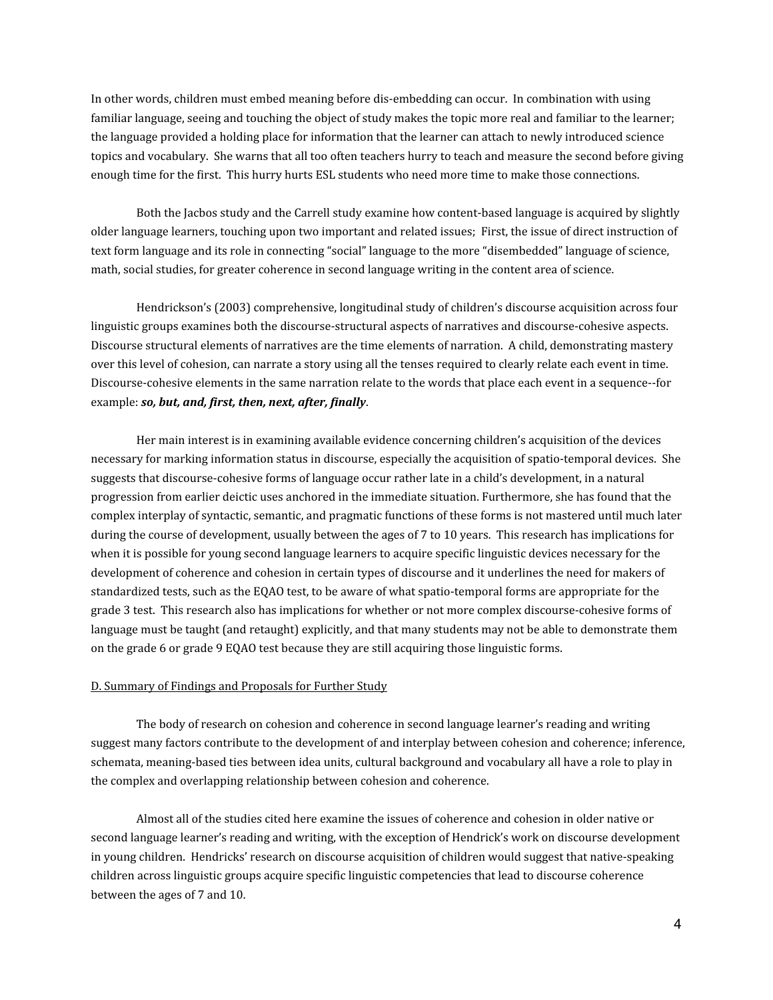In other words, children must embed meaning before dis-embedding can occur. In combination with using familiar language, seeing and touching the object of study makes the topic more real and familiar to the learner; the language provided a holding place for information that the learner can attach to newly introduced science topics and vocabulary. She warns that all too often teachers hurry to teach and measure the second before giving enough time for the first. This hurry hurts ESL students who need more time to make those connections.

Both the Jacbos study and the Carrell study examine how content-based language is acquired by slightly older language learners, touching upon two important and related issues; First, the issue of direct instruction of text form language and its role in connecting "social" language to the more "disembedded" language of science, math, social studies, for greater coherence in second language writing in the content area of science.

Hendrickson's (2003) comprehensive, longitudinal study of children's discourse acquisition across four linguistic groups examines both the discourse-structural aspects of narratives and discourse-cohesive aspects. Discourse structural elements of narratives are the time elements of narration. A child, demonstrating mastery over this level of cohesion, can narrate a story using all the tenses required to clearly relate each event in time. Discourse-cohesive elements in the same narration relate to the words that place each event in a sequence--for example: *so, but, and, first, then, next, after, finally*.

Her main interest is in examining available evidence concerning children's acquisition of the devices necessary for marking information status in discourse, especially the acquisition of spatio-temporal devices. She suggests that discourse-cohesive forms of language occur rather late in a child's development, in a natural progression from earlier deictic uses anchored in the immediate situation. Furthermore, she has found that the complex interplay of syntactic, semantic, and pragmatic functions of these forms is not mastered until much later during the course of development, usually between the ages of 7 to 10 years. This research has implications for when it is possible for young second language learners to acquire specific linguistic devices necessary for the development of coherence and cohesion in certain types of discourse and it underlines the need for makers of standardized tests, such as the EQAO test, to be aware of what spatio-temporal forms are appropriate for the grade 3 test. This research also has implications for whether or not more complex discourse-cohesive forms of language must be taught (and retaught) explicitly, and that many students may not be able to demonstrate them on the grade 6 or grade 9 EQAO test because they are still acquiring those linguistic forms.

#### D. Summary of Findings and Proposals for Further Study

The body of research on cohesion and coherence in second language learner's reading and writing suggest many factors contribute to the development of and interplay between cohesion and coherence; inference, schemata, meaning-based ties between idea units, cultural background and vocabulary all have a role to play in the complex and overlapping relationship between cohesion and coherence.

Almost all of the studies cited here examine the issues of coherence and cohesion in older native or second language learner's reading and writing, with the exception of Hendrick's work on discourse development in young children. Hendricks' research on discourse acquisition of children would suggest that native-speaking children across linguistic groups acquire specific linguistic competencies that lead to discourse coherence between the ages of 7 and 10.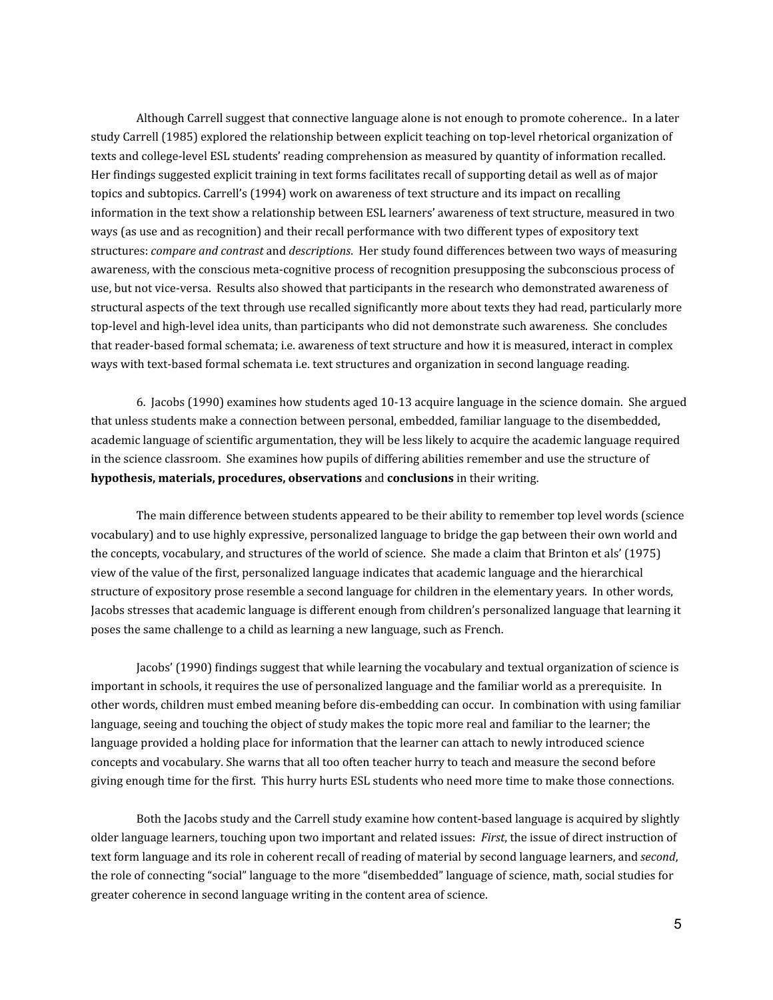Although Carrell suggest that connective language alone is not enough to promote coherence.. In a later study Carrell (1985) explored the relationship between explicit teaching on top-level rhetorical organization of texts and college-level ESL students' reading comprehension as measured by quantity of information recalled. Her findings suggested explicit training in text forms facilitates recall of supporting detail as well as of major topics and subtopics. Carrell's (1994) work on awareness of text structure and its impact on recalling information in the text show a relationship between ESL learners' awareness of text structure, measured in two ways (as use and as recognition) and their recall performance with two different types of expository text structures: *compare and contrast* and *descriptions*. Her study found differences between two ways of measuring awareness, with the conscious meta-cognitive process of recognition presupposing the subconscious process of use, but not vice-versa. Results also showed that participants in the research who demonstrated awareness of structural aspects of the text through use recalled significantly more about texts they had read, particularly more top-level and high-level idea units, than participants who did not demonstrate such awareness. She concludes that reader-based formal schemata; i.e. awareness of text structure and how it is measured, interact in complex ways with text-based formal schemata i.e. text structures and organization in second language reading.

6. Jacobs (1990) examines how students aged 10-13 acquire language in the science domain. She argued that unless students make a connection between personal, embedded, familiar language to the disembedded, academic language of scientific argumentation, they will be less likely to acquire the academic language required in the science classroom. She examines how pupils of differing abilities remember and use the structure of **hypothesis, materials, procedures, observations** and **conclusions** in their writing.

The main difference between students appeared to be their ability to remember top level words (science vocabulary) and to use highly expressive, personalized language to bridge the gap between their own world and the concepts, vocabulary, and structures of the world of science. She made a claim that Brinton et als' (1975) view of the value of the first, personalized language indicates that academic language and the hierarchical structure of expository prose resemble a second language for children in the elementary years. In other words, Jacobs stresses that academic language is different enough from children's personalized language that learning it poses the same challenge to a child as learning a new language, such as French.

Jacobs' (1990) findings suggest that while learning the vocabulary and textual organization of science is important in schools, it requires the use of personalized language and the familiar world as a prerequisite. In other words, children must embed meaning before dis-embedding can occur. In combination with using familiar language, seeing and touching the object of study makes the topic more real and familiar to the learner; the language provided a holding place for information that the learner can attach to newly introduced science concepts and vocabulary. She warns that all too often teacher hurry to teach and measure the second before giving enough time for the first. This hurry hurts ESL students who need more time to make those connections.

Both the Jacobs study and the Carrell study examine how content-based language is acquired by slightly older language learners, touching upon two important and related issues: *First*, the issue of direct instruction of text form language and its role in coherent recall of reading of material by second language learners, and *second*, the role of connecting "social" language to the more "disembedded" language of science, math, social studies for greater coherence in second language writing in the content area of science.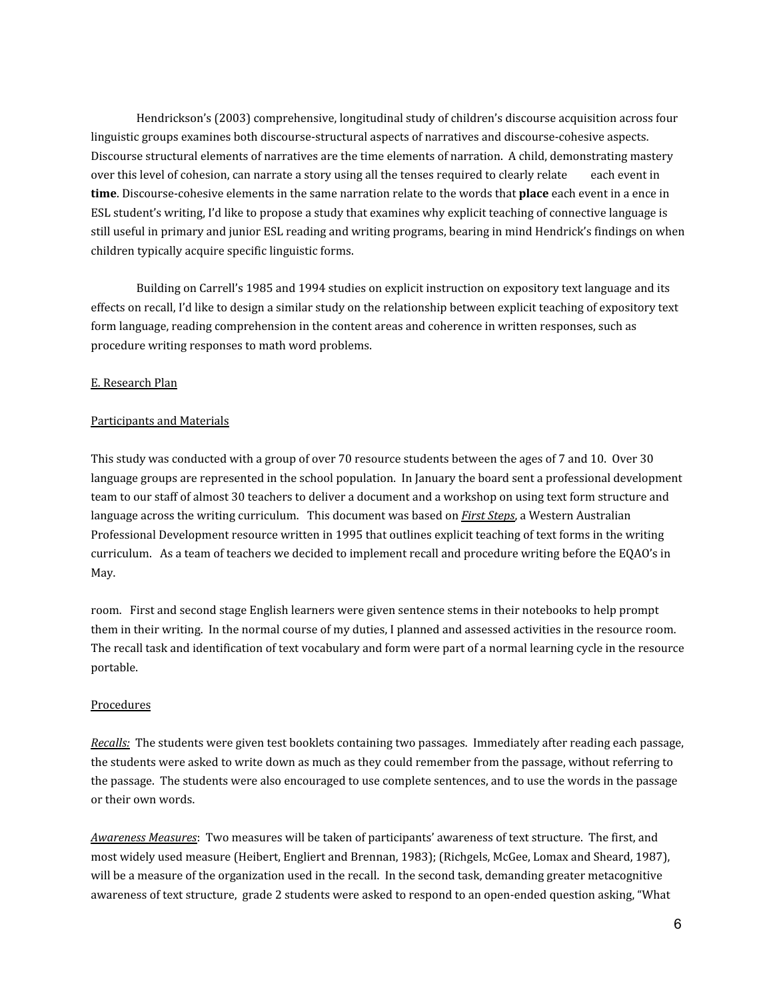Hendrickson's (2003) comprehensive, longitudinal study of children's discourse acquisition across four linguistic groups examines both discourse-structural aspects of narratives and discourse-cohesive aspects. Discourse structural elements of narratives are the time elements of narration. A child, demonstrating mastery over this level of cohesion, can narrate a story using all the tenses required to clearly relate each event in **time**. Discourse-cohesive elements in the same narration relate to the words that **place** each event in a ence in ESL student's writing, I'd like to propose a study that examines why explicit teaching of connective language is still useful in primary and junior ESL reading and writing programs, bearing in mind Hendrick's findings on when children typically acquire specific linguistic forms.

Building on Carrell's 1985 and 1994 studies on explicit instruction on expository text language and its effects on recall, I'd like to design a similar study on the relationship between explicit teaching of expository text form language, reading comprehension in the content areas and coherence in written responses, such as procedure writing responses to math word problems.

#### E. Research Plan

#### Participants and Materials

This study was conducted with a group of over 70 resource students between the ages of 7 and 10. Over 30 language groups are represented in the school population. In January the board sent a professional development team to our staff of almost 30 teachers to deliver a document and a workshop on using text form structure and language across the writing curriculum. This document was based on *First Steps*, a Western Australian Professional Development resource written in 1995 that outlines explicit teaching of text forms in the writing curriculum. As a team of teachers we decided to implement recall and procedure writing before the EQAO's in May.

room. First and second stage English learners were given sentence stems in their notebooks to help prompt them in their writing. In the normal course of my duties, I planned and assessed activities in the resource room. The recall task and identification of text vocabulary and form were part of a normal learning cycle in the resource portable.

## Procedures

*Recalls:* The students were given test booklets containing two passages. Immediately after reading each passage, the students were asked to write down as much as they could remember from the passage, without referring to the passage. The students were also encouraged to use complete sentences, and to use the words in the passage or their own words.

*Awareness Measures*: Two measures will be taken of participants' awareness of text structure. The first, and most widely used measure (Heibert, Engliert and Brennan, 1983); (Richgels, McGee, Lomax and Sheard, 1987), will be a measure of the organization used in the recall. In the second task, demanding greater metacognitive awareness of text structure, grade 2 students were asked to respond to an open-ended question asking, "What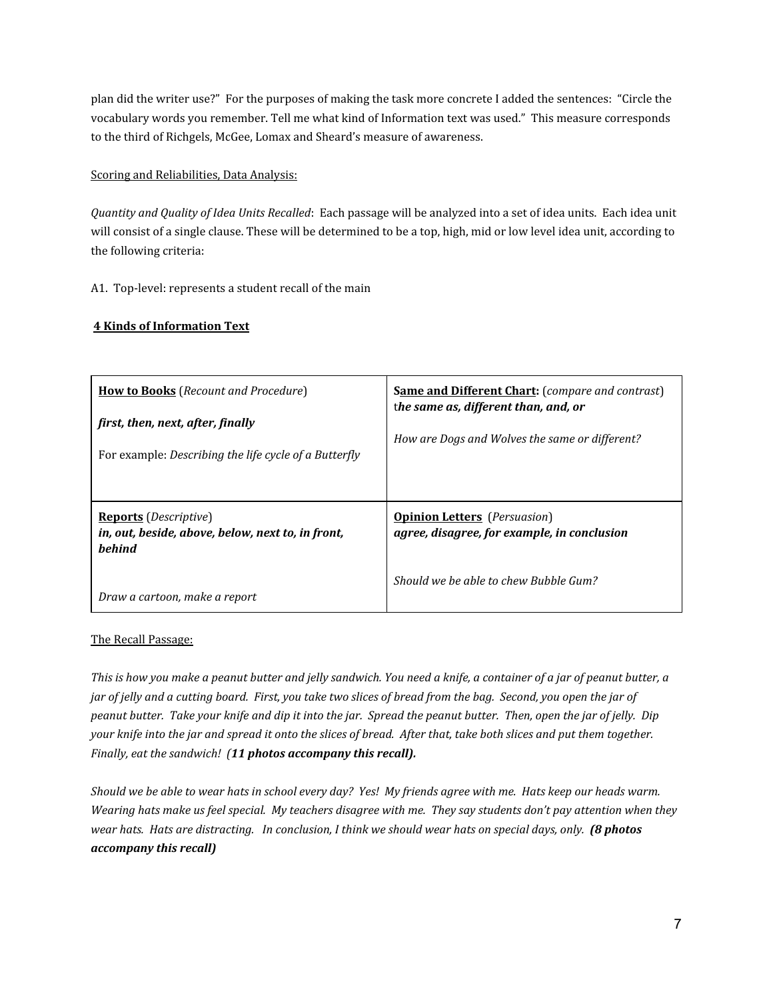plan did the writer use?" For the purposes of making the task more concrete I added the sentences: "Circle the vocabulary words you remember. Tell me what kind of Information text was used." This measure corresponds to the third of Richgels, McGee, Lomax and Sheard's measure of awareness.

## Scoring and Reliabilities, Data Analysis:

*Quantity and Quality of Idea Units Recalled*: Each passage will be analyzed into a set of idea units. Each idea unit will consist of a single clause. These will be determined to be a top, high, mid or low level idea unit, according to the following criteria:

A1. Top-level: represents a student recall of the main

# **4 Kinds of Information Text**

| <b>How to Books</b> (Recount and Procedure)<br>first, then, next, after, finally<br>For example: Describing the life cycle of a Butterfly | <b>Same and Different Chart:</b> (compare and contrast)<br>the same as, different than, and, or<br>How are Dogs and Wolves the same or different? |
|-------------------------------------------------------------------------------------------------------------------------------------------|---------------------------------------------------------------------------------------------------------------------------------------------------|
| <b>Reports</b> ( <i>Descriptive</i> )<br>in, out, beside, above, below, next to, in front,<br><b>behind</b>                               | <b>Opinion Letters</b> ( <i>Persuasion</i> )<br>agree, disagree, for example, in conclusion                                                       |
| Draw a cartoon, make a report                                                                                                             | Should we be able to chew Bubble Gum?                                                                                                             |

## The Recall Passage:

This is how you make a peanut butter and jelly sandwich. You need a knife, a container of a jar of peanut butter, a jar of jelly and a cutting board. First, you take two slices of bread from the bag. Second, you open the jar of peanut butter. Take your knife and dip it into the jar. Spread the peanut butter. Then, open the jar of jelly. Dip your knife into the jar and spread it onto the slices of bread. After that, take both slices and put them together. *Finally, eat the sandwich! (11 photos accompany this recall).*

Should we be able to wear hats in school every day? Yes! My friends agree with me. Hats keep our heads warm. Wearing hats make us feel special. My teachers disagree with me. They say students don't pay attention when they wear hats. Hats are distracting. In conclusion, I think we should wear hats on special days, only. (8 photos *accompany this recall)*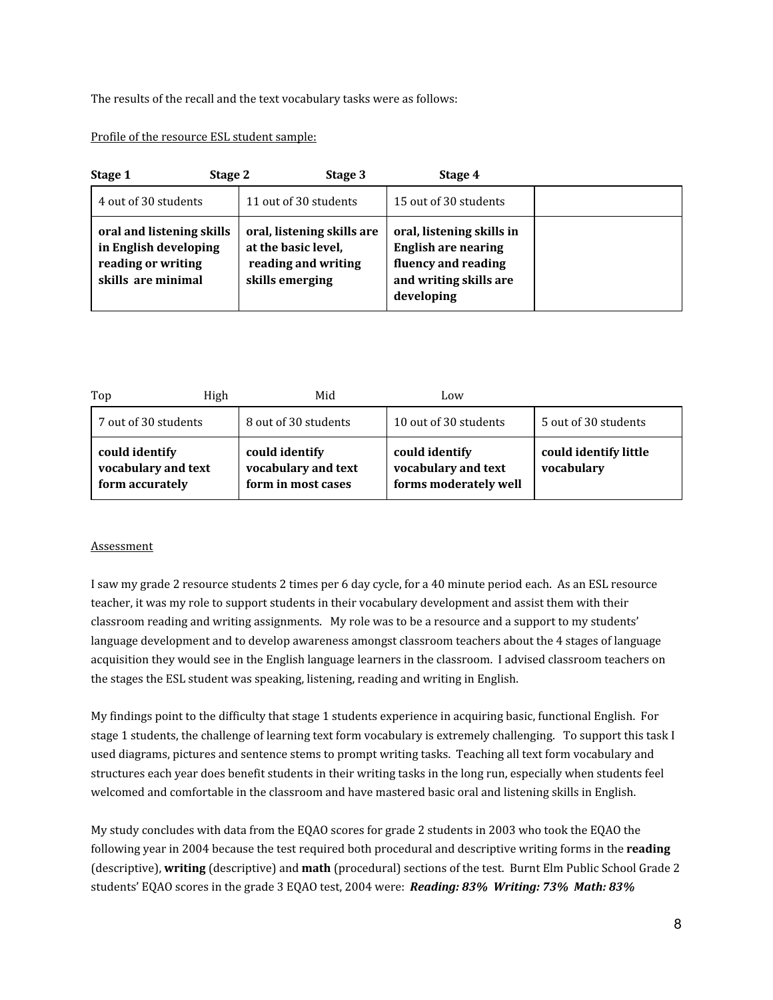The results of the recall and the text vocabulary tasks were as follows:

## Profile of the resource ESL student sample:

| Stage 2<br>Stage 1                                                                             | Stage 3                                                                                     | Stage 4                                                                                                                |  |
|------------------------------------------------------------------------------------------------|---------------------------------------------------------------------------------------------|------------------------------------------------------------------------------------------------------------------------|--|
| 4 out of 30 students                                                                           | 11 out of 30 students                                                                       | 15 out of 30 students                                                                                                  |  |
| oral and listening skills<br>in English developing<br>reading or writing<br>skills are minimal | oral, listening skills are<br>at the basic level,<br>reading and writing<br>skills emerging | oral, listening skills in<br><b>English are nearing</b><br>fluency and reading<br>and writing skills are<br>developing |  |

| Top                                                      | High | Mid                                                         | Low                                                            |                                     |
|----------------------------------------------------------|------|-------------------------------------------------------------|----------------------------------------------------------------|-------------------------------------|
| 7 out of 30 students                                     |      | 8 out of 30 students                                        | 10 out of 30 students                                          | 5 out of 30 students                |
| could identify<br>vocabulary and text<br>form accurately |      | could identify<br>vocabulary and text<br>form in most cases | could identify<br>vocabulary and text<br>forms moderately well | could identify little<br>vocabulary |

## Assessment

I saw my grade 2 resource students 2 times per 6 day cycle, for a 40 minute period each. As an ESL resource teacher, it was my role to support students in their vocabulary development and assist them with their classroom reading and writing assignments. My role was to be a resource and a support to my students' language development and to develop awareness amongst classroom teachers about the 4 stages of language acquisition they would see in the English language learners in the classroom. I advised classroom teachers on the stages the ESL student was speaking, listening, reading and writing in English.

My findings point to the difficulty that stage 1 students experience in acquiring basic, functional English. For stage 1 students, the challenge of learning text form vocabulary is extremely challenging. To support this task I used diagrams, pictures and sentence stems to prompt writing tasks. Teaching all text form vocabulary and structures each year does benefit students in their writing tasks in the long run, especially when students feel welcomed and comfortable in the classroom and have mastered basic oral and listening skills in English.

My study concludes with data from the EQAO scores for grade 2 students in 2003 who took the EQAO the following year in 2004 because the test required both procedural and descriptive writing forms in the **reading** (descriptive), **writing** (descriptive) and **math** (procedural) sections of the test. Burnt Elm Public School Grade 2 students' EQAO scores in the grade 3 EQAO test, 2004 were: *Reading: 83% Writing: 73% Math: 83%*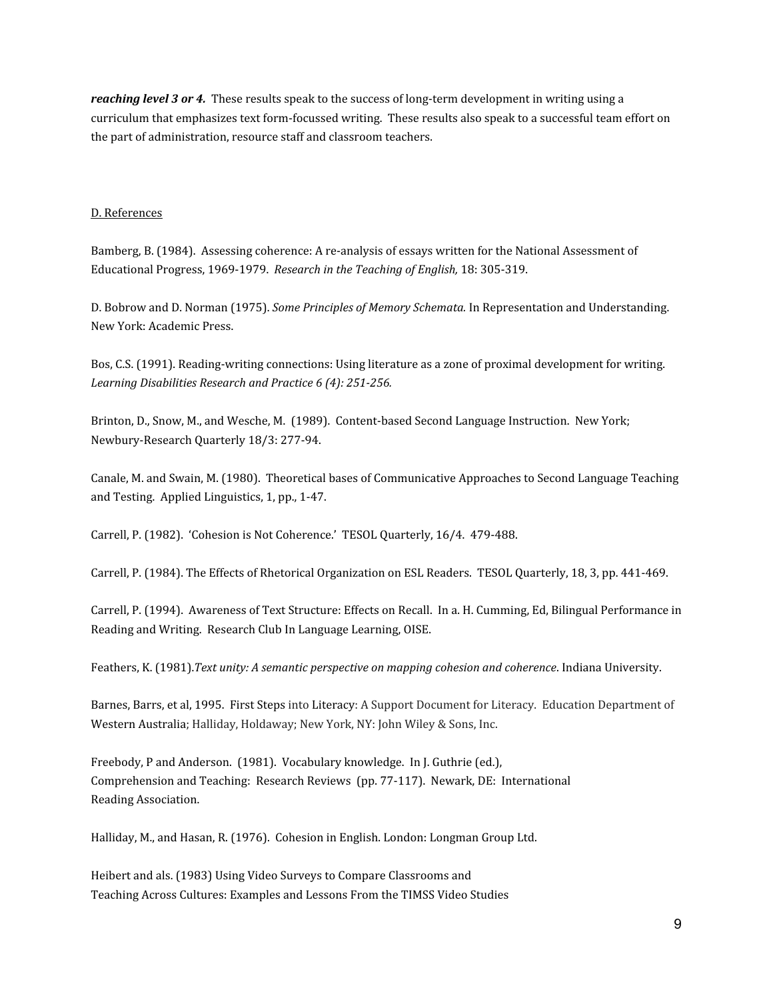*reaching level 3 or 4.* These results speak to the success of long-term development in writing using a curriculum that emphasizes text form-focussed writing. These results also speak to a successful team effort on the part of administration, resource staff and classroom teachers.

#### D. References

Bamberg, B. (1984). Assessing coherence: A re-analysis of essays written for the National Assessment of Educational Progress, 1969-1979. *Research in the Teaching of English,* 18: 305-319.

D. Bobrow and D. Norman (1975). *Some Principles of Memory Schemata.* In Representation and Understanding. New York: Academic Press.

Bos, C.S. (1991). Reading-writing connections: Using literature as a zone of proximal development for writing. *Learning Disabilities Research and Practice 6 (4): 251-256.*

Brinton, D., Snow, M., and Wesche, M. (1989). Content-based Second Language Instruction. New York; Newbury-Research Quarterly 18/3: 277-94.

Canale, M. and Swain, M. (1980). Theoretical bases of Communicative Approaches to Second Language Teaching and Testing. Applied Linguistics, 1, pp., 1-47.

Carrell, P. (1982). 'Cohesion is Not Coherence.' TESOL Quarterly, 16/4. 479-488.

Carrell, P. (1984). The Effects of Rhetorical Organization on ESL Readers. TESOL Quarterly, 18, 3, pp. 441-469.

Carrell, P. (1994). Awareness of Text Structure: Effects on Recall. In a. H. Cumming, Ed, Bilingual Performance in Reading and Writing. Research Club In Language Learning, OISE.

Feathers, K. (1981).*Text unity: A semantic perspective on mapping cohesion and coherence*. Indiana University.

Barnes, Barrs, et al, 1995. First Steps into Literacy: A Support Document for Literacy. Education Department of Western Australia; Halliday, Holdaway; New York, NY: John Wiley & Sons, Inc.

Freebody, P and Anderson. (1981). Vocabulary knowledge. In J. Guthrie (ed.), Comprehension and Teaching: Research Reviews (pp. 77-117). Newark, DE: International Reading Association.

Halliday, M., and Hasan, R. (1976). Cohesion in English. London: Longman Group Ltd.

Heibert and als. (1983) Using Video Surveys to Compare Classrooms and Teaching Across Cultures: Examples and Lessons From the TIMSS Video Studies